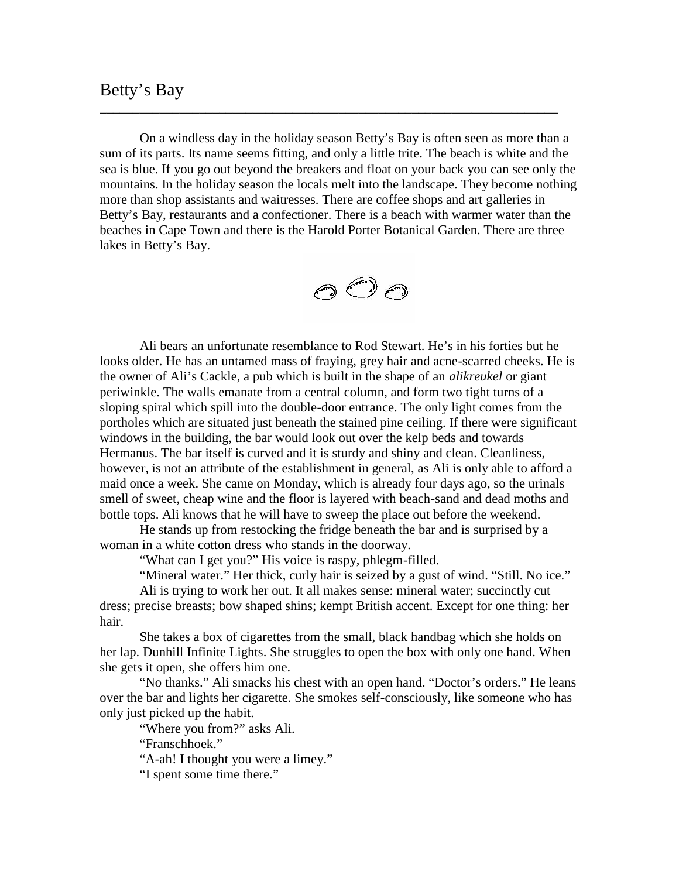## Betty's Bay

On a windless day in the holiday season Betty's Bay is often seen as more than a sum of its parts. Its name seems fitting, and only a little trite. The beach is white and the sea is blue. If you go out beyond the breakers and float on your back you can see only the mountains. In the holiday season the locals melt into the landscape. They become nothing more than shop assistants and waitresses. There are coffee shops and art galleries in Betty's Bay, restaurants and a confectioner. There is a beach with warmer water than the beaches in Cape Town and there is the Harold Porter Botanical Garden. There are three lakes in Betty's Bay.

\_\_\_\_\_\_\_\_\_\_\_\_\_\_\_\_\_\_\_\_\_\_\_\_\_\_\_\_\_\_\_\_\_\_\_\_\_\_\_\_\_\_\_\_\_\_\_\_\_\_\_\_\_\_\_\_\_\_\_\_\_\_\_\_\_\_\_\_\_



Ali bears an unfortunate resemblance to Rod Stewart. He's in his forties but he looks older. He has an untamed mass of fraying, grey hair and acne-scarred cheeks. He is the owner of Ali's Cackle, a pub which is built in the shape of an *alikreukel* or giant periwinkle. The walls emanate from a central column, and form two tight turns of a sloping spiral which spill into the double-door entrance. The only light comes from the portholes which are situated just beneath the stained pine ceiling. If there were significant windows in the building, the bar would look out over the kelp beds and towards Hermanus. The bar itself is curved and it is sturdy and shiny and clean. Cleanliness, however, is not an attribute of the establishment in general, as Ali is only able to afford a maid once a week. She came on Monday, which is already four days ago, so the urinals smell of sweet, cheap wine and the floor is layered with beach-sand and dead moths and bottle tops. Ali knows that he will have to sweep the place out before the weekend.

He stands up from restocking the fridge beneath the bar and is surprised by a woman in a white cotton dress who stands in the doorway.

"What can I get you?" His voice is raspy, phlegm-filled.

"Mineral water." Her thick, curly hair is seized by a gust of wind. "Still. No ice."

Ali is trying to work her out. It all makes sense: mineral water; succinctly cut dress; precise breasts; bow shaped shins; kempt British accent. Except for one thing: her hair.

She takes a box of cigarettes from the small, black handbag which she holds on her lap. Dunhill Infinite Lights. She struggles to open the box with only one hand. When she gets it open, she offers him one.

"No thanks." Ali smacks his chest with an open hand. "Doctor's orders." He leans over the bar and lights her cigarette. She smokes self-consciously, like someone who has only just picked up the habit.

"Where you from?" asks Ali.

"Franschhoek."

"A-ah! I thought you were a limey."

"I spent some time there."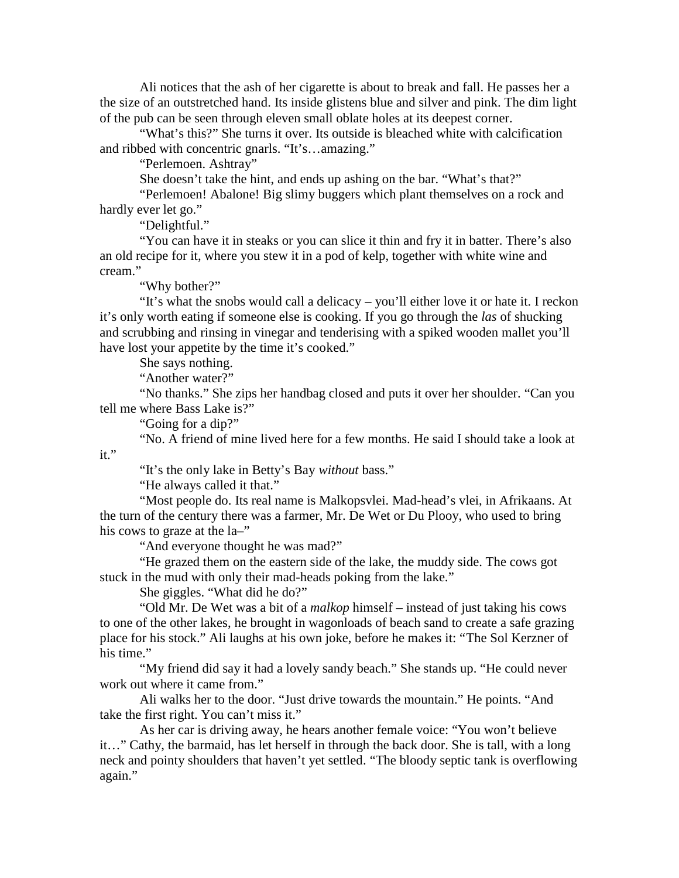Ali notices that the ash of her cigarette is about to break and fall. He passes her a the size of an outstretched hand. Its inside glistens blue and silver and pink. The dim light of the pub can be seen through eleven small oblate holes at its deepest corner.

"What's this?" She turns it over. Its outside is bleached white with calcification and ribbed with concentric gnarls. "It's…amazing."

"Perlemoen. Ashtray"

She doesn't take the hint, and ends up ashing on the bar. "What's that?"

"Perlemoen! Abalone! Big slimy buggers which plant themselves on a rock and hardly ever let go."

"Delightful."

"You can have it in steaks or you can slice it thin and fry it in batter. There's also an old recipe for it, where you stew it in a pod of kelp, together with white wine and cream."

"Why bother?"

"It's what the snobs would call a delicacy – you'll either love it or hate it. I reckon it's only worth eating if someone else is cooking. If you go through the *las* of shucking and scrubbing and rinsing in vinegar and tenderising with a spiked wooden mallet you'll have lost your appetite by the time it's cooked."

She says nothing.

"Another water?"

"No thanks." She zips her handbag closed and puts it over her shoulder. "Can you tell me where Bass Lake is?"

"Going for a dip?"

"No. A friend of mine lived here for a few months. He said I should take a look at it."

"It's the only lake in Betty's Bay *without* bass."

"He always called it that."

"Most people do. Its real name is Malkopsvlei. Mad-head's vlei, in Afrikaans. At the turn of the century there was a farmer, Mr. De Wet or Du Plooy, who used to bring his cows to graze at the  $la$ ."

"And everyone thought he was mad?"

"He grazed them on the eastern side of the lake, the muddy side. The cows got stuck in the mud with only their mad-heads poking from the lake."

She giggles. "What did he do?"

"Old Mr. De Wet was a bit of a *malkop* himself – instead of just taking his cows to one of the other lakes, he brought in wagonloads of beach sand to create a safe grazing place for his stock." Ali laughs at his own joke, before he makes it: "The Sol Kerzner of his time."

"My friend did say it had a lovely sandy beach." She stands up. "He could never work out where it came from."

Ali walks her to the door. "Just drive towards the mountain." He points. "And take the first right. You can't miss it."

As her car is driving away, he hears another female voice: "You won't believe it…" Cathy, the barmaid, has let herself in through the back door. She is tall, with a long neck and pointy shoulders that haven't yet settled. "The bloody septic tank is overflowing again."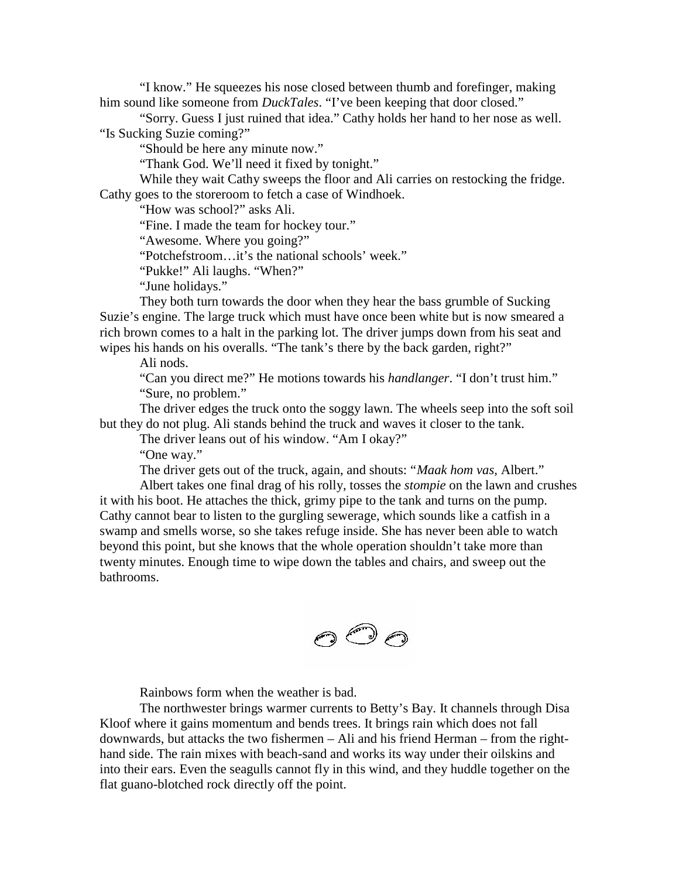"I know." He squeezes his nose closed between thumb and forefinger, making him sound like someone from *DuckTales*. "I've been keeping that door closed."

"Sorry. Guess I just ruined that idea." Cathy holds her hand to her nose as well. "Is Sucking Suzie coming?"

"Should be here any minute now."

"Thank God. We'll need it fixed by tonight."

While they wait Cathy sweeps the floor and Ali carries on restocking the fridge. Cathy goes to the storeroom to fetch a case of Windhoek.

"How was school?" asks Ali.

"Fine. I made the team for hockey tour."

"Awesome. Where you going?"

"Potchefstroom…it's the national schools' week."

"Pukke!" Ali laughs. "When?"

"June holidays."

They both turn towards the door when they hear the bass grumble of Sucking Suzie's engine. The large truck which must have once been white but is now smeared a rich brown comes to a halt in the parking lot. The driver jumps down from his seat and wipes his hands on his overalls. "The tank's there by the back garden, right?"

Ali nods.

"Can you direct me?" He motions towards his *handlanger*. "I don't trust him." "Sure, no problem."

The driver edges the truck onto the soggy lawn. The wheels seep into the soft soil but they do not plug. Ali stands behind the truck and waves it closer to the tank.

The driver leans out of his window. "Am I okay?"

"One way."

The driver gets out of the truck, again, and shouts: "*Maak hom vas,* Albert."

Albert takes one final drag of his rolly, tosses the *stompie* on the lawn and crushes it with his boot. He attaches the thick, grimy pipe to the tank and turns on the pump. Cathy cannot bear to listen to the gurgling sewerage, which sounds like a catfish in a swamp and smells worse, so she takes refuge inside. She has never been able to watch beyond this point, but she knows that the whole operation shouldn't take more than twenty minutes. Enough time to wipe down the tables and chairs, and sweep out the bathrooms.



Rainbows form when the weather is bad.

The northwester brings warmer currents to Betty's Bay. It channels through Disa Kloof where it gains momentum and bends trees. It brings rain which does not fall downwards, but attacks the two fishermen – Ali and his friend Herman – from the right hand side. The rain mixes with beach-sand and works its way under their oilskins and into their ears. Even the seagulls cannot fly in this wind, and they huddle together on the flat guano-blotched rock directly off the point.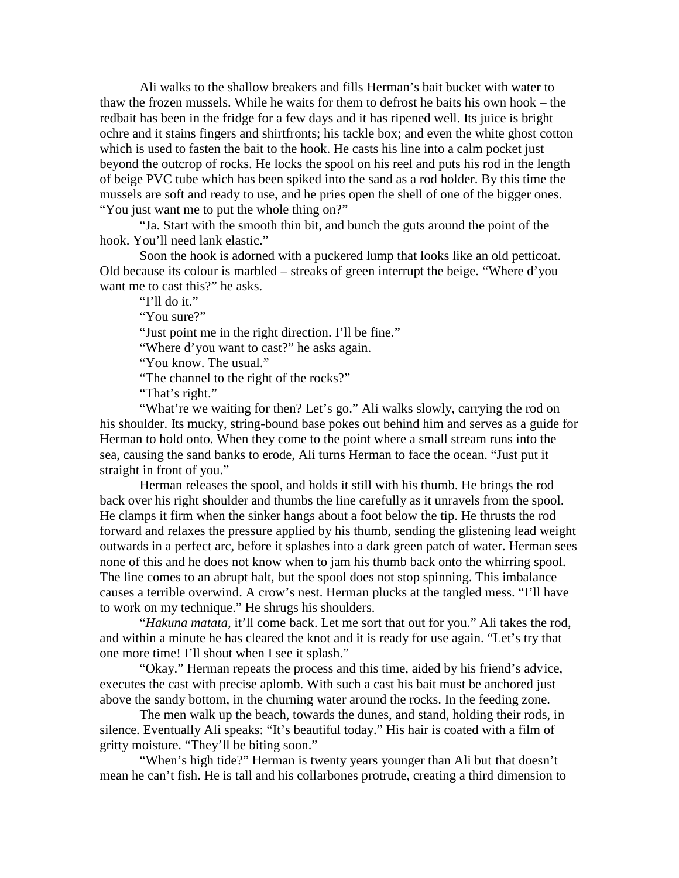Ali walks to the shallow breakers and fills Herman's bait bucket with water to thaw the frozen mussels. While he waits for them to defrost he baits his own hook – the redbait has been in the fridge for a few days and it has ripened well. Its juice is bright ochre and it stains fingers and shirtfronts; his tackle box; and even the white ghost cotton which is used to fasten the bait to the hook. He casts his line into a calm pocket just beyond the outcrop of rocks. He locks the spool on his reel and puts his rod in the length of beige PVC tube which has been spiked into the sand as a rod holder. By this time the mussels are soft and ready to use, and he pries open the shell of one of the bigger ones. "You just want me to put the whole thing on?"

"Ja. Start with the smooth thin bit, and bunch the guts around the point of the hook. You'll need lank elastic."

Soon the hook is adorned with a puckered lump that looks like an old petticoat. Old because its colour is marbled – streaks of green interrupt the beige. "Where d'you want me to cast this?" he asks.

"I'll do it."

"You sure?"

"Just point me in the right direction. I'll be fine."

"Where d'you want to cast?" he asks again.

"You know. The usual."

"The channel to the right of the rocks?"

"That's right."

"What're we waiting for then? Let's go." Ali walks slowly, carrying the rod on his shoulder. Its mucky, string-bound base pokes out behind him and serves as a guide for Herman to hold onto. When they come to the point where a small stream runs into the sea, causing the sand banks to erode, Ali turns Herman to face the ocean. "Just put it straight in front of you."

Herman releases the spool, and holds it still with his thumb. He brings the rod back over his right shoulder and thumbs the line carefully as it unravels from the spool. He clamps it firm when the sinker hangs about a foot below the tip. He thrusts the rod forward and relaxes the pressure applied by his thumb, sending the glistening lead weight outwards in a perfect arc, before it splashes into a dark green patch of water. Herman sees none of this and he does not know when to jam his thumb back onto the whirring spool. The line comes to an abrupt halt, but the spool does not stop spinning. This imbalance causes a terrible overwind. A crow's nest. Herman plucks at the tangled mess. "I'll have to work on my technique." He shrugs his shoulders.

"*Hakuna matata,* it'll come back. Let me sort that out for you." Ali takes the rod, and within a minute he has cleared the knot and it is ready for use again. "Let's try that one more time! I'll shout when I see it splash."

"Okay." Herman repeats the process and this time, aided by his friend's advice, executes the cast with precise aplomb. With such a cast his bait must be anchored just above the sandy bottom, in the churning water around the rocks. In the feeding zone.

The men walk up the beach, towards the dunes, and stand, holding their rods, in silence. Eventually Ali speaks: "It's beautiful today." His hair is coated with a film of gritty moisture. "They'll be biting soon."

"When's high tide?" Herman is twenty years younger than Ali but that doesn't mean he can't fish. He is tall and his collarbones protrude, creating a third dimension to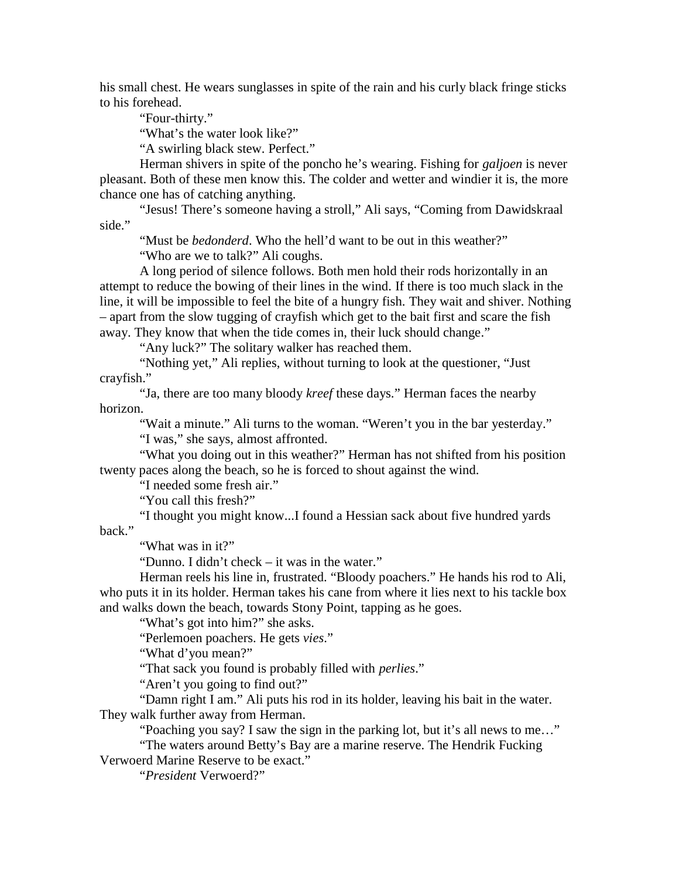his small chest. He wears sunglasses in spite of the rain and his curly black fringe sticks to his forehead.

"Four-thirty."

"What's the water look like?"

"A swirling black stew. Perfect."

Herman shivers in spite of the poncho he's wearing. Fishing for *galjoen* is never pleasant. Both of these men know this. The colder and wetter and windier it is, the more chance one has of catching anything.

"Jesus! There's someone having a stroll," Ali says, "Coming from Dawidskraal side."

"Must be *bedonderd*. Who the hell'd want to be out in this weather?"

"Who are we to talk?" Ali coughs.

A long period of silence follows. Both men hold their rods horizontally in an attempt to reduce the bowing of their lines in the wind. If there is too much slack in the line, it will be impossible to feel the bite of a hungry fish. They wait and shiver. Nothing – apart from the slow tugging of crayfish which get to the bait first and scare the fish away. They know that when the tide comes in, their luck should change."

"Any luck?" The solitary walker has reached them.

"Nothing yet," Ali replies, without turning to look at the questioner, "Just crayfish."

"Ja, there are too many bloody *kreef* these days." Herman faces the nearby horizon.

"Wait a minute." Ali turns to the woman. "Weren't you in the bar yesterday."

"I was," she says, almost affronted.

"What you doing out in this weather?" Herman has not shifted from his position twenty paces along the beach, so he is forced to shout against the wind.

"I needed some fresh air."

"You call this fresh?"

"I thought you might know...I found a Hessian sack about five hundred yards back."

"What was in it?"

"Dunno. I didn't check – it was in the water."

Herman reels his line in, frustrated. "Bloody poachers." He hands his rod to Ali, who puts it in its holder. Herman takes his cane from where it lies next to his tackle box and walks down the beach, towards Stony Point, tapping as he goes.

"What's got into him?" she asks.

"Perlemoen poachers. He gets *vies*."

"What d'you mean?"

"That sack you found is probably filled with *perlies*."

"Aren't you going to find out?"

"Damn right I am." Ali puts his rod in its holder, leaving his bait in the water. They walk further away from Herman.

"Poaching you say? I saw the sign in the parking lot, but it's all news to me…"

"The waters around Betty's Bay are a marine reserve. The Hendrik Fucking Verwoerd Marine Reserve to be exact."

"*President* Verwoerd?"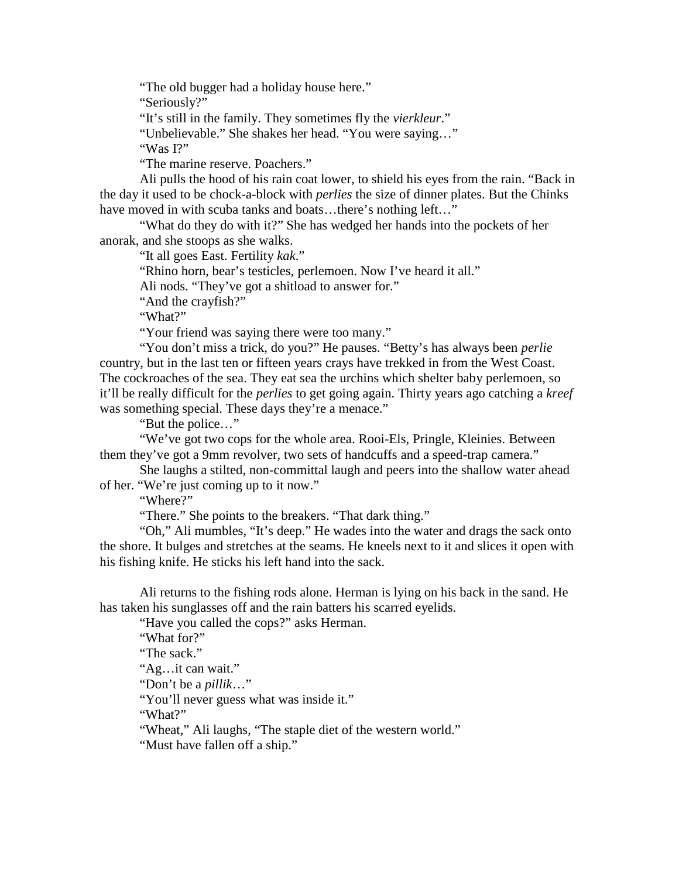"The old bugger had a holiday house here."

"Seriously?"

"It's still in the family. They sometimes fly the *vierkleur*."

"Unbelievable." She shakes her head. "You were saying…"

"Was I?"

"The marine reserve. Poachers."

Ali pulls the hood of his rain coat lower, to shield his eyes from the rain. "Back in the day it used to be chock-a-block with *perlies* the size of dinner plates. But the Chinks have moved in with scuba tanks and boats...there's nothing left..."

"What do they do with it?" She has wedged her hands into the pockets of her anorak, and she stoops as she walks.

"It all goes East. Fertility *kak*."

"Rhino horn, bear's testicles, perlemoen. Now I've heard it all."

Ali nods. "They've got a shitload to answer for."

"And the crayfish?"

"What?"

"Your friend was saying there were too many."

"You don't miss a trick, do you?" He pauses. "Betty's has always been *perlie* country, but in the last ten or fifteen years crays have trekked in from the West Coast. The cockroaches of the sea. They eat sea the urchins which shelter baby perlemoen, so it'll be really difficult for the *perlies* to get going again. Thirty years ago catching a *kreef* was something special. These days they're a menace."

"But the police…"

"We've got two cops for the whole area. Rooi-Els, Pringle, Kleinies. Between them they've got a 9mm revolver, two sets of handcuffs and a speed-trap camera."

She laughs a stilted, non-committal laugh and peers into the shallow water ahead of her. "We're just coming up to it now."

"Where?"

"There." She points to the breakers. "That dark thing."

"Oh," Ali mumbles, "It's deep." He wades into the water and drags the sack onto the shore. It bulges and stretches at the seams. He kneels next to it and slices it open with his fishing knife. He sticks his left hand into the sack.

Ali returns to the fishing rods alone. Herman is lying on his back in the sand. He has taken his sunglasses off and the rain batters his scarred eyelids.

"Have you called the cops?" asks Herman.

"What for?"

"The sack."

"Ag…it can wait."

"Don't be a *pillik*…"

"You'll never guess what was inside it."

"What?"

"Wheat," Ali laughs, "The staple diet of the western world."

"Must have fallen off a ship."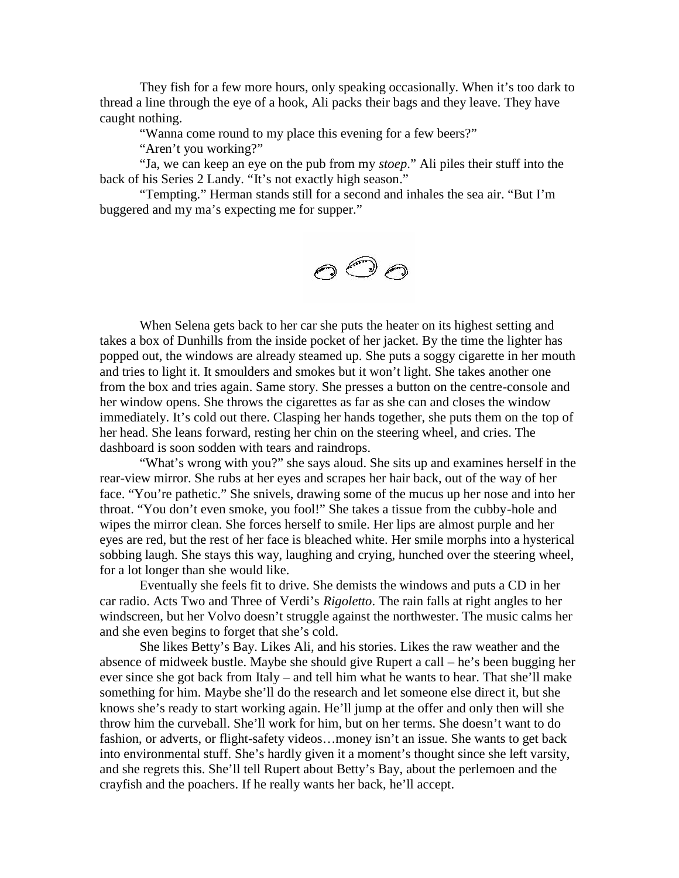They fish for a few more hours, only speaking occasionally. When it's too dark to thread a line through the eye of a hook, Ali packs their bags and they leave. They have caught nothing.

"Wanna come round to my place this evening for a few beers?"

"Aren't you working?"

"Ja, we can keep an eye on the pub from my *stoep*." Ali piles their stuff into the back of his Series 2 Landy. "It's not exactly high season."

"Tempting." Herman stands still for a second and inhales the sea air. "But I'm buggered and my ma's expecting me for supper."

$$
\bigcirc \overset{\text{def}}{\circ} \bigcirc
$$

When Selena gets back to her car she puts the heater on its highest setting and takes a box of Dunhills from the inside pocket of her jacket. By the time the lighter has popped out, the windows are already steamed up. She puts a soggy cigarette in her mouth and tries to light it. It smoulders and smokes but it won't light. She takes another one from the box and tries again. Same story. She presses a button on the centre-console and her window opens. She throws the cigarettes as far as she can and closes the window immediately. It's cold out there. Clasping her hands together, she puts them on the top of her head. She leans forward, resting her chin on the steering wheel, and cries. The dashboard is soon sodden with tears and raindrops.

"What's wrong with you?" she says aloud. She sits up and examines herself in the rear-view mirror. She rubs at her eyes and scrapes her hair back, out of the way of her face. "You're pathetic." She snivels, drawing some of the mucus up her nose and into her throat. "You don't even smoke, you fool!" She takes a tissue from the cubby-hole and wipes the mirror clean. She forces herself to smile. Her lips are almost purple and her eyes are red, but the rest of her face is bleached white. Her smile morphs into a hysterical sobbing laugh. She stays this way, laughing and crying, hunched over the steering wheel, for a lot longer than she would like.

Eventually she feels fit to drive. She demists the windows and puts a CD in her car radio. Acts Two and Three of Verdi's *Rigoletto*. The rain falls at right angles to her windscreen, but her Volvo doesn't struggle against the northwester. The music calms her and she even begins to forget that she's cold.

She likes Betty's Bay. Likes Ali, and his stories. Likes the raw weather and the absence of midweek bustle. Maybe she should give Rupert a call – he's been bugging her ever since she got back from Italy – and tell him what he wants to hear. That she'll make something for him. Maybe she'll do the research and let someone else direct it, but she knows she's ready to start working again. He'll jump at the offer and only then will she throw him the curveball. She'll work for him, but on her terms. She doesn't want to do fashion, or adverts, or flight-safety videos…money isn't an issue. She wants to get back into environmental stuff. She's hardly given it a moment's thought since she left varsity, and she regrets this. She'll tell Rupert about Betty's Bay, about the perlemoen and the crayfish and the poachers. If he really wants her back, he'll accept.